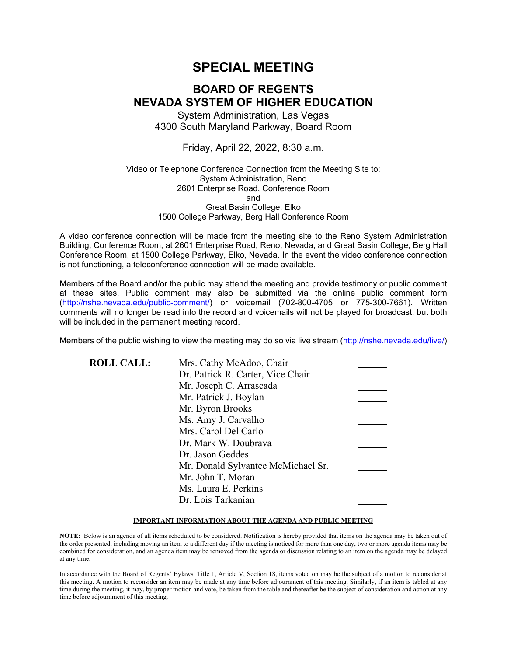# **SPECIAL MEETING**

# **BOARD OF REGENTS NEVADA SYSTEM OF HIGHER EDUCATION**

System Administration, Las Vegas 4300 South Maryland Parkway, Board Room

Friday, April 22, 2022, 8:30 a.m.

#### Video or Telephone Conference Connection from the Meeting Site to: System Administration, Reno 2601 Enterprise Road, Conference Room and Great Basin College, Elko 1500 College Parkway, Berg Hall Conference Room

A video conference connection will be made from the meeting site to the Reno System Administration Building, Conference Room, at 2601 Enterprise Road, Reno, Nevada, and Great Basin College, Berg Hall Conference Room, at 1500 College Parkway, Elko, Nevada. In the event the video conference connection is not functioning, a teleconference connection will be made available.

Members of the Board and/or the public may attend the meeting and provide testimony or public comment at these sites. Public comment may also be submitted via the online public comment form [\(http://nshe.nevada.edu/public-comment/\)](http://nshe.nevada.edu/public-comment/) or voicemail (702-800-4705 or 775-300-7661). Written comments will no longer be read into the record and voicemails will not be played for broadcast, but both will be included in the permanent meeting record.

Members of the public wishing to view the meeting may do so via live stream [\(http://nshe.nevada.edu/live/\)](http://nshe.nevada.edu/live/)

| <b>ROLL CALL:</b> | Mrs. Cathy McAdoo, Chair           |  |
|-------------------|------------------------------------|--|
|                   | Dr. Patrick R. Carter, Vice Chair  |  |
|                   | Mr. Joseph C. Arrascada            |  |
|                   | Mr. Patrick J. Boylan              |  |
|                   | Mr. Byron Brooks                   |  |
|                   | Ms. Amy J. Carvalho                |  |
|                   | Mrs. Carol Del Carlo               |  |
|                   | Dr. Mark W. Doubrava               |  |
|                   | Dr. Jason Geddes                   |  |
|                   | Mr. Donald Sylvantee McMichael Sr. |  |
|                   | Mr. John T. Moran                  |  |
|                   | Ms. Laura E. Perkins               |  |
|                   | Dr. Lois Tarkanian                 |  |
|                   |                                    |  |

#### **IMPORTANT INFORMATION ABOUT THE AGENDA AND PUBLIC MEETING**

**NOTE:** Below is an agenda of all items scheduled to be considered. Notification is hereby provided that items on the agenda may be taken out of the order presented, including moving an item to a different day if the meeting is noticed for more than one day, two or more agenda items may be combined for consideration, and an agenda item may be removed from the agenda or discussion relating to an item on the agenda may be delayed at any time.

In accordance with the Board of Regents' Bylaws, Title 1, Article V, Section 18, items voted on may be the subject of a motion to reconsider at this meeting. A motion to reconsider an item may be made at any time before adjournment of this meeting. Similarly, if an item is tabled at any time during the meeting, it may, by proper motion and vote, be taken from the table and thereafter be the subject of consideration and action at any time before adjournment of this meeting.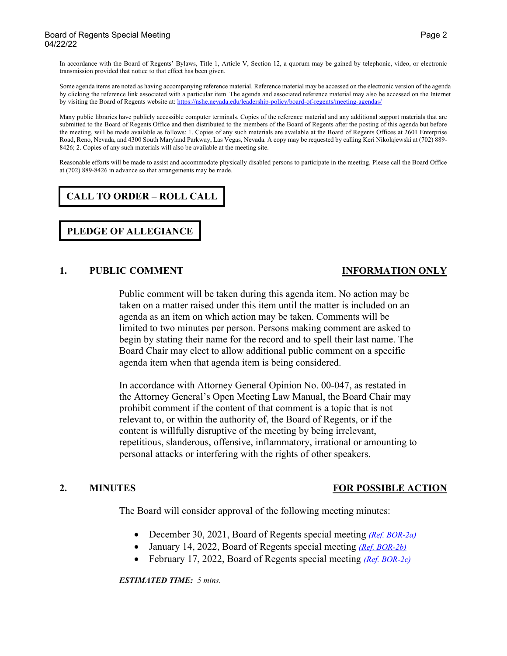#### Board of Regents Special Meeting Page 2 and 20 and 20 and 20 and 20 and 20 and 20 and 20 and 20 and 20 and 20 and 20 and 20 and 20 and 20 and 20 and 20 and 20 and 20 and 20 and 20 and 20 and 20 and 20 and 20 and 20 and 20 04/22/22

In accordance with the Board of Regents' Bylaws, Title 1, Article V, Section 12, a quorum may be gained by telephonic, video, or electronic transmission provided that notice to that effect has been given.

Some agenda items are noted as having accompanying reference material. Reference material may be accessed on the electronic version of the agenda by clicking the reference link associated with a particular item. The agenda and associated reference material may also be accessed on the Internet by visiting the Board of Regents website at: <https://nshe.nevada.edu/leadership-policy/board-of-regents/meeting-agendas/>

Many public libraries have publicly accessible computer terminals. Copies of the reference material and any additional support materials that are submitted to the Board of Regents Office and then distributed to the members of the Board of Regents after the posting of this agenda but before the meeting, will be made available as follows: 1. Copies of any such materials are available at the Board of Regents Offices at 2601 Enterprise Road, Reno, Nevada, and 4300 South Maryland Parkway, Las Vegas, Nevada. A copy may be requested by calling Keri Nikolajewski at (702) 889- 8426; 2. Copies of any such materials will also be available at the meeting site.

Reasonable efforts will be made to assist and accommodate physically disabled persons to participate in the meeting. Please call the Board Office at (702) 889-8426 in advance so that arrangements may be made.

# **CALL TO ORDER – ROLL CALL**

**PLEDGE OF ALLEGIANCE**

### **1. PUBLIC COMMENT SERVICE SERVICE ON A LOCAL PROPERTY AND INFORMATION ONLY**

Public comment will be taken during this agenda item. No action may be taken on a matter raised under this item until the matter is included on an agenda as an item on which action may be taken. Comments will be limited to two minutes per person. Persons making comment are asked to begin by stating their name for the record and to spell their last name. The Board Chair may elect to allow additional public comment on a specific agenda item when that agenda item is being considered.

In accordance with Attorney General Opinion No. 00-047, as restated in the Attorney General's Open Meeting Law Manual, the Board Chair may prohibit comment if the content of that comment is a topic that is not relevant to, or within the authority of, the Board of Regents, or if the content is willfully disruptive of the meeting by being irrelevant, repetitious, slanderous, offensive, inflammatory, irrational or amounting to personal attacks or interfering with the rights of other speakers.

### **2. MINUTES FOR POSSIBLE ACTION**

The Board will consider approval of the following meeting minutes:

- December 30, 2021, Board of Regents special meeting *[\(Ref. BOR-2a\)](https://nshe.nevada.edu/wp-content/uploads/file/BoardOfRegents/Agendas/2022/04-apr-mtgs/bor22-refs/BOR-2a.pdf)*
- January 14, 2022, Board of Regents special meeting *[\(Ref. BOR-2b\)](https://nshe.nevada.edu/wp-content/uploads/file/BoardOfRegents/Agendas/2022/04-apr-mtgs/bor22-refs/BOR-2b.pdf)*
- February 17, 2022, Board of Regents special meeting *[\(Ref. BOR-2c\)](https://nshe.nevada.edu/wp-content/uploads/file/BoardOfRegents/Agendas/2022/04-apr-mtgs/bor22-refs/BOR-2c.pdf)*

*ESTIMATED TIME: 5 mins.*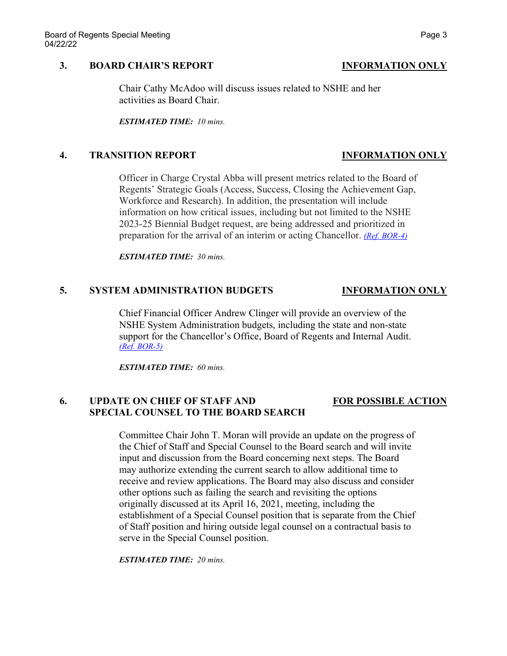### **3. BOARD CHAIR'S REPORT INFORMATION ONLY**

Chair Cathy McAdoo will discuss issues related to NSHE and her activities as Board Chair.

*ESTIMATED TIME: 10 mins.*

### **4. TRANSITION REPORT INFORMATION ONLY**

Officer in Charge Crystal Abba will present metrics related to the Board of Regents' Strategic Goals (Access, Success, Closing the Achievement Gap, Workforce and Research). In addition, the presentation will include information on how critical issues, including but not limited to the NSHE 2023-25 Biennial Budget request, are being addressed and prioritized in preparation for the arrival of an interim or acting Chancellor. *[\(Ref. BOR-4\)](https://nshe.nevada.edu/wp-content/uploads/file/BoardOfRegents/Agendas/2022/04-apr-mtgs/bor22-refs/BOR-4.pdf)*

*ESTIMATED TIME: 30 mins.*

### **5. SYSTEM ADMINISTRATION BUDGETS INFORMATION ONLY**

Chief Financial Officer Andrew Clinger will provide an overview of the NSHE System Administration budgets, including the state and non-state support for the Chancellor's Office, Board of Regents and Internal Audit. *[\(Ref. BOR-5\)](https://nshe.nevada.edu/wp-content/uploads/file/BoardOfRegents/Agendas/2022/04-apr-mtgs/bor22-refs/BOR-5.pdf)*

*ESTIMATED TIME: 60 mins.*

### **6. UPDATE ON CHIEF OF STAFF AND FOR POSSIBLE ACTION SPECIAL COUNSEL TO THE BOARD SEARCH**

Committee Chair John T. Moran will provide an update on the progress of the Chief of Staff and Special Counsel to the Board search and will invite input and discussion from the Board concerning next steps. The Board may authorize extending the current search to allow additional time to receive and review applications. The Board may also discuss and consider other options such as failing the search and revisiting the options originally discussed at its April 16, 2021, meeting, including the establishment of a Special Counsel position that is separate from the Chief of Staff position and hiring outside legal counsel on a contractual basis to serve in the Special Counsel position.

*ESTIMATED TIME: 20 mins.*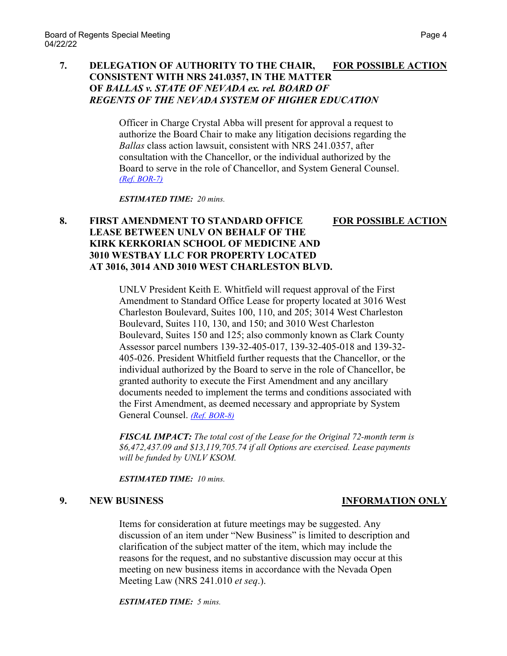## **7. DELEGATION OF AUTHORITY TO THE CHAIR, FOR POSSIBLE ACTION CONSISTENT WITH NRS 241.0357, IN THE MATTER OF** *BALLAS v. STATE OF NEVADA ex. rel. BOARD OF REGENTS OF THE NEVADA SYSTEM OF HIGHER EDUCATION*

Officer in Charge Crystal Abba will present for approval a request to authorize the Board Chair to make any litigation decisions regarding the *Ballas* class action lawsuit, consistent with NRS 241.0357, after consultation with the Chancellor, or the individual authorized by the Board to serve in the role of Chancellor, and System General Counsel. *[\(Ref. BOR-7\)](https://nshe.nevada.edu/wp-content/uploads/file/BoardOfRegents/Agendas/2022/04-apr-mtgs/bor22-refs/BOR-7.pdf)*

*ESTIMATED TIME: 20 mins.*

## **8. FIRST AMENDMENT TO STANDARD OFFICE FOR POSSIBLE ACTION LEASE BETWEEN UNLV ON BEHALF OF THE KIRK KERKORIAN SCHOOL OF MEDICINE AND 3010 WESTBAY LLC FOR PROPERTY LOCATED AT 3016, 3014 AND 3010 WEST CHARLESTON BLVD.**

UNLV President Keith E. Whitfield will request approval of the First Amendment to Standard Office Lease for property located at 3016 West Charleston Boulevard, Suites 100, 110, and 205; 3014 West Charleston Boulevard, Suites 110, 130, and 150; and 3010 West Charleston Boulevard, Suites 150 and 125; also commonly known as Clark County Assessor parcel numbers 139-32-405-017, 139-32-405-018 and 139-32- 405-026. President Whitfield further requests that the Chancellor, or the individual authorized by the Board to serve in the role of Chancellor, be granted authority to execute the First Amendment and any ancillary documents needed to implement the terms and conditions associated with the First Amendment, as deemed necessary and appropriate by System General Counsel. *[\(Ref. BOR-8\)](https://nshe.nevada.edu/wp-content/uploads/file/BoardOfRegents/Agendas/2022/04-apr-mtgs/bor22-refs/BOR-8.pdf)*

*FISCAL IMPACT: The total cost of the Lease for the Original 72-month term is \$6,472,437.09 and \$13,119,705.74 if all Options are exercised. Lease payments will be funded by UNLV KSOM.*

*ESTIMATED TIME: 10 mins.*

## **9. NEW BUSINESS INFORMATION ONLY**

Items for consideration at future meetings may be suggested. Any discussion of an item under "New Business" is limited to description and clarification of the subject matter of the item, which may include the reasons for the request, and no substantive discussion may occur at this meeting on new business items in accordance with the Nevada Open Meeting Law (NRS 241.010 *et seq*.).

*ESTIMATED TIME: 5 mins.*